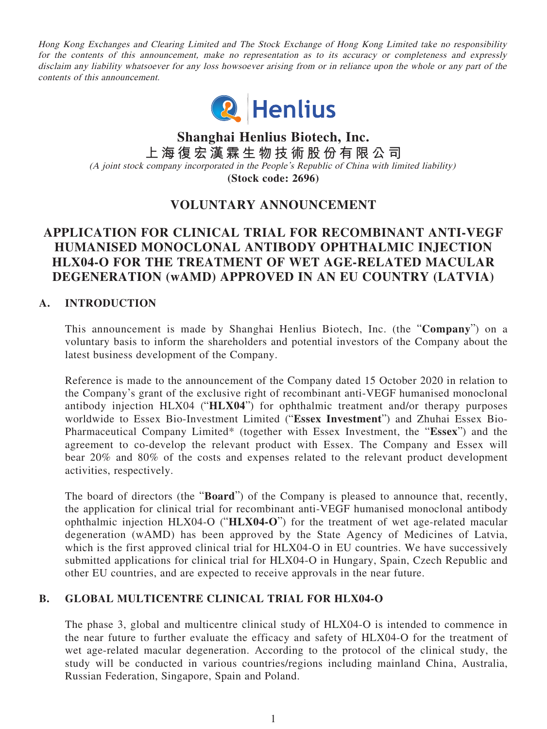Hong Kong Exchanges and Clearing Limited and The Stock Exchange of Hong Kong Limited take no responsibility for the contents of this announcement, make no representation as to its accuracy or completeness and expressly disclaim any liability whatsoever for any loss howsoever arising from or in reliance upon the whole or any part of the contents of this announcement.



**Shanghai Henlius Biotech, Inc. 上海復宏漢霖生物技術股份有限公司** (A joint stock company incorporated in the People's Republic of China with limited liability) **(Stock code: 2696)**

# **VOLUNTARY ANNOUNCEMENT**

## **APPLICATION FOR CLINICAL TRIAL FOR RECOMBINANT ANTI-VEGF HUMANISED MONOCLONAL ANTIBODY OPHTHALMIC INJECTION HLX04-O FOR THE TREATMENT OF WET AGE-RELATED MACULAR DEGENERATION (wAMD) APPROVED IN AN EU COUNTRY (LATVIA)**

### **A. INTRODUCTION**

This announcement is made by Shanghai Henlius Biotech, Inc. (the "**Company**") on a voluntary basis to inform the shareholders and potential investors of the Company about the latest business development of the Company.

Reference is made to the announcement of the Company dated 15 October 2020 in relation to the Company's grant of the exclusive right of recombinant anti-VEGF humanised monoclonal antibody injection HLX04 ("**HLX04**") for ophthalmic treatment and/or therapy purposes worldwide to Essex Bio-Investment Limited ("**Essex Investment**") and Zhuhai Essex Bio-Pharmaceutical Company Limited\* (together with Essex Investment, the "**Essex**") and the agreement to co-develop the relevant product with Essex. The Company and Essex will bear 20% and 80% of the costs and expenses related to the relevant product development activities, respectively.

The board of directors (the "**Board**") of the Company is pleased to announce that, recently, the application for clinical trial for recombinant anti-VEGF humanised monoclonal antibody ophthalmic injection HLX04-O ("**HLX04-O**") for the treatment of wet age-related macular degeneration (wAMD) has been approved by the State Agency of Medicines of Latvia, which is the first approved clinical trial for HLX04-O in EU countries. We have successively submitted applications for clinical trial for HLX04-O in Hungary, Spain, Czech Republic and other EU countries, and are expected to receive approvals in the near future.

### **B. GLOBAL MULTICENTRE CLINICAL TRIAL FOR HLX04-O**

The phase 3, global and multicentre clinical study of HLX04-O is intended to commence in the near future to further evaluate the efficacy and safety of HLX04-O for the treatment of wet age-related macular degeneration. According to the protocol of the clinical study, the study will be conducted in various countries/regions including mainland China, Australia, Russian Federation, Singapore, Spain and Poland.